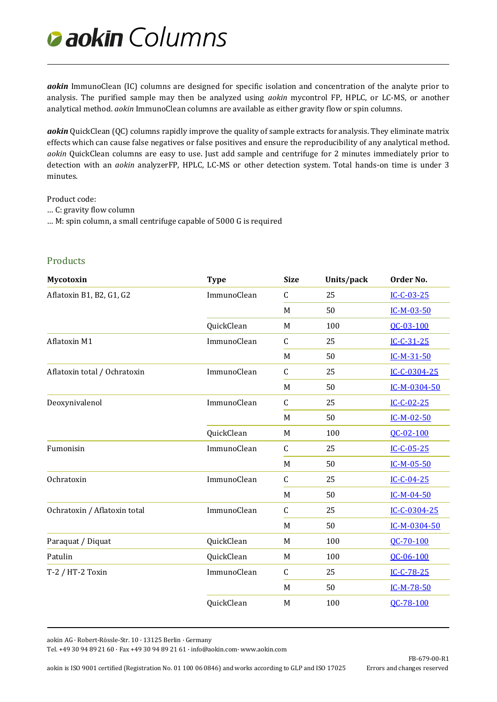## *Columns*

*aokin* ImmunoClean (IC) columns are designed for specific isolation and concentration of the analyte prior to analysis. The purified sample may then be analyzed using *aokin* mycontrol FP, HPLC, or LC-MS, or another analytical method. *aokin* ImmunoClean columns are available as either gravity flow or spin columns.

*aokin* QuickClean (QC) columns rapidly improve the quality of sample extracts for analysis. They eliminate matrix effects which can cause false negatives or false positives and ensure the reproducibility of any analytical method. *aokin* QuickClean columns are easy to use. Just add sample and centrifuge for 2 minutes immediately prior to detection with an *aokin* analyzerFP, HPLC, LC-MS or other detection system. Total hands-on time is under 3 minutes.

Product code:

- … C: gravity flow column
- … M: spin column, a small centrifuge capable of 5000 G is required

## **Products**

| <b>Mycotoxin</b>             | <b>Type</b> | <b>Size</b> | Units/pack | Order No.    |
|------------------------------|-------------|-------------|------------|--------------|
| Aflatoxin B1, B2, G1, G2     | ImmunoClean | $\mathsf C$ | 25         | $IC-C-03-25$ |
|                              |             | M           | 50         | IC-M-03-50   |
|                              | QuickClean  | M           | 100        | QC-03-100    |
| Aflatoxin M1                 | ImmunoClean | $\mathsf C$ | 25         | $IC-C-31-25$ |
|                              |             | M           | 50         | $IC-M-31-50$ |
| Aflatoxin total / Ochratoxin | ImmunoClean | $\mathsf C$ | 25         | IC-C-0304-25 |
|                              |             | M           | 50         | IC-M-0304-50 |
| Deoxynivalenol               | ImmunoClean | $\mathsf C$ | 25         | $IC-C-02-25$ |
|                              |             | M           | 50         | $IC-M-02-50$ |
|                              | QuickClean  | M           | 100        | OC-02-100    |
| Fumonisin                    | ImmunoClean | $\mathsf C$ | 25         | $IC-C-05-25$ |
|                              |             | M           | 50         | $IC-M-05-50$ |
| Ochratoxin                   | ImmunoClean | $\mathsf C$ | 25         | $IC-C-04-25$ |
|                              |             | M           | 50         | $IC-M-04-50$ |
| Ochratoxin / Aflatoxin total | ImmunoClean | $\mathsf C$ | 25         | IC-C-0304-25 |
|                              |             | M           | 50         | IC-M-0304-50 |
| Paraquat / Diquat            | QuickClean  | M           | 100        | QC-70-100    |
| Patulin                      | QuickClean  | M           | 100        | QC-06-100    |
| T-2 / HT-2 Toxin             | ImmunoClean | $\mathsf C$ | 25         | $IC-C-78-25$ |
|                              |             | M           | 50         | IC-M-78-50   |
|                              | QuickClean  | M           | 100        | OC-78-100    |
|                              |             |             |            |              |

aokin AG · Robert-Rössle-Str. 10 · 13125 Berlin · Germany

Tel. +49 30 94 89 21 60 · Fax +49 30 94 89 21 61 [· info@aokin.com·](mailto:info@aokin.com) [www.aokin.com](http://www.aokin.com/)